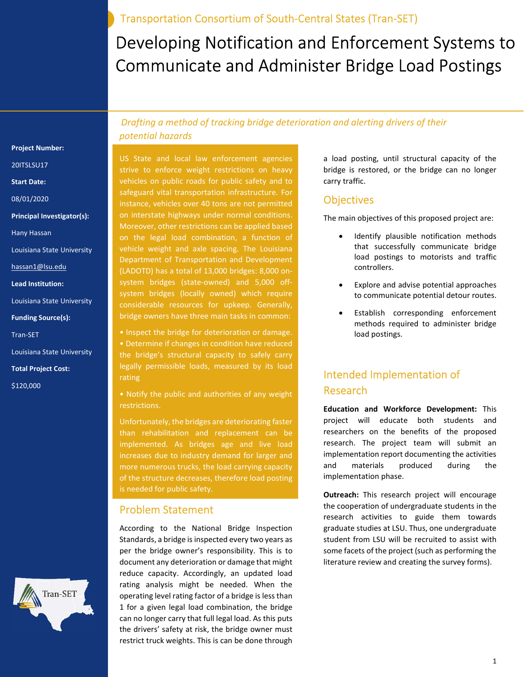Transportation Consortium of South-Central States (Tran-SET)

# Developing Notification and Enforcement Systems to Communicate and Administer Bridge Load Postings

#### Project Number:

20ITSLSU17

Start Date:

08/01/2020

Principal Investigator(s):

Hany Hassan

Louisiana State University

hassan1@lsu.edu

Lead Institution:

Louisiana State University

Funding Source(s):

Tran-SET

Louisiana State University

Total Project Cost:

\$120,000

 Drafting a method of tracking bridge deterioration and alerting drivers of their potential hazards

US State and local law enforcement agencies strive to enforce weight restrictions on heavy vehicles on public roads for public safety and to safeguard vital transportation infrastructure. For instance, vehicles over 40 tons are not permitted on interstate highways under normal conditions. Moreover, other restrictions can be applied based on the legal load combination, a function of vehicle weight and axle spacing. The Louisiana Department of Transportation and Development (LADOTD) has a total of 13,000 bridges: 8,000 onsystem bridges (state-owned) and 5,000 offsystem bridges (locally owned) which require considerable resources for upkeep. Generally, bridge owners have three main tasks in common:

• Inspect the bridge for deterioration or damage. • Determine if changes in condition have reduced the bridge's structural capacity to safely carry legally permissible loads, measured by its load rating

• Notify the public and authorities of any weight restrictions.

Unfortunately, the bridges are deteriorating faster than rehabilitation and replacement can be implemented. As bridges age and live load increases due to industry demand for larger and more numerous trucks, the load carrying capacity of the structure decreases, therefore load posting

#### Problem Statement

According to the National Bridge Inspection Standards, a bridge is inspected every two years as per the bridge owner's responsibility. This is to document any deterioration or damage that might reduce capacity. Accordingly, an updated load rating analysis might be needed. When the operating level rating factor of a bridge is less than 1 for a given legal load combination, the bridge can no longer carry that full legal load. As this puts the drivers' safety at risk, the bridge owner must restrict truck weights. This is can be done through

a load posting, until structural capacity of the bridge is restored, or the bridge can no longer carry traffic.

#### **Objectives**

The main objectives of this proposed project are:

- Identify plausible notification methods that successfully communicate bridge load postings to motorists and traffic controllers.
- Explore and advise potential approaches to communicate potential detour routes.
- Establish corresponding enforcement methods required to administer bridge load postings.

# Intended Implementation of Research

Education and Workforce Development: This project will educate both students and researchers on the benefits of the proposed research. The project team will submit an implementation report documenting the activities and materials produced during the implementation phase.

Outreach: This research project will encourage the cooperation of undergraduate students in the research activities to guide them towards graduate studies at LSU. Thus, one undergraduate student from LSU will be recruited to assist with some facets of the project (such as performing the literature review and creating the survey forms).